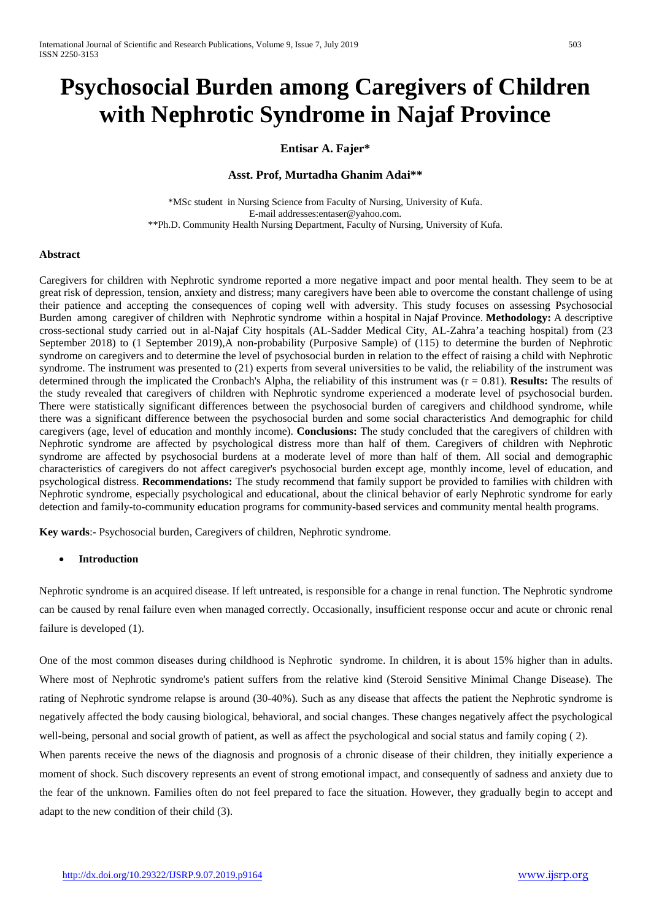# **Psychosocial Burden among Caregivers of Children with Nephrotic Syndrome in Najaf Province**

# **Entisar A. Fajer\***

# **Asst. Prof, Murtadha Ghanim Adai\*\***

\*MSc student in Nursing Science from Faculty of Nursing, University of Kufa. E-mail addresses:entaser@yahoo.com. \*\*Ph.D. Community Health Nursing Department, Faculty of Nursing, University of Kufa.

## **Abstract**

Caregivers for children with Nephrotic syndrome reported a more negative impact and poor mental health. They seem to be at great risk of depression, tension, anxiety and distress; many caregivers have been able to overcome the constant challenge of using their patience and accepting the consequences of coping well with adversity. This study focuses on assessing Psychosocial Burden among caregiver of children with Nephrotic syndrome within a hospital in Najaf Province. **Methodology:** A descriptive cross-sectional study carried out in al-Najaf City hospitals (AL-Sadder Medical City, AL-Zahra'a teaching hospital) from (23 September 2018) to (1 September 2019),A non-probability (Purposive Sample) of (115) to determine the burden of Nephrotic syndrome on caregivers and to determine the level of psychosocial burden in relation to the effect of raising a child with Nephrotic syndrome. The instrument was presented to (21) experts from several universities to be valid, the reliability of the instrument was determined through the implicated the Cronbach's Alpha, the reliability of this instrument was (r = 0.81). **Results:** The results of the study revealed that caregivers of children with Nephrotic syndrome experienced a moderate level of psychosocial burden. There were statistically significant differences between the psychosocial burden of caregivers and childhood syndrome, while there was a significant difference between the psychosocial burden and some social characteristics And demographic for child caregivers (age, level of education and monthly income). **Conclusions:** The study concluded that the caregivers of children with Nephrotic syndrome are affected by psychological distress more than half of them. Caregivers of children with Nephrotic syndrome are affected by psychosocial burdens at a moderate level of more than half of them. All social and demographic characteristics of caregivers do not affect caregiver's psychosocial burden except age, monthly income, level of education, and psychological distress. **Recommendations:** The study recommend that family support be provided to families with children with Nephrotic syndrome, especially psychological and educational, about the clinical behavior of early Nephrotic syndrome for early detection and family-to-community education programs for community-based services and community mental health programs.

**Key wards**:- Psychosocial burden, Caregivers of children, Nephrotic syndrome.

# • **Introduction**

Nephrotic syndrome is an acquired disease. If left untreated, is responsible for a change in renal function. The Nephrotic syndrome can be caused by renal failure even when managed correctly. Occasionally, insufficient response occur and acute or chronic renal failure is developed (1).

One of the most common diseases during childhood is Nephrotic syndrome. In children, it is about 15% higher than in adults. Where most of Nephrotic syndrome's patient suffers from the relative kind (Steroid Sensitive Minimal Change Disease). The rating of Nephrotic syndrome relapse is around (30-40%). Such as any disease that affects the patient the Nephrotic syndrome is negatively affected the body causing biological, behavioral, and social changes. These changes negatively affect the psychological well-being, personal and social growth of patient, as well as affect the psychological and social status and family coping ( 2).

When parents receive the news of the diagnosis and prognosis of a chronic disease of their children, they initially experience a moment of shock. Such discovery represents an event of strong emotional impact, and consequently of sadness and anxiety due to the fear of the unknown. Families often do not feel prepared to face the situation. However, they gradually begin to accept and adapt to the new condition of their child (3).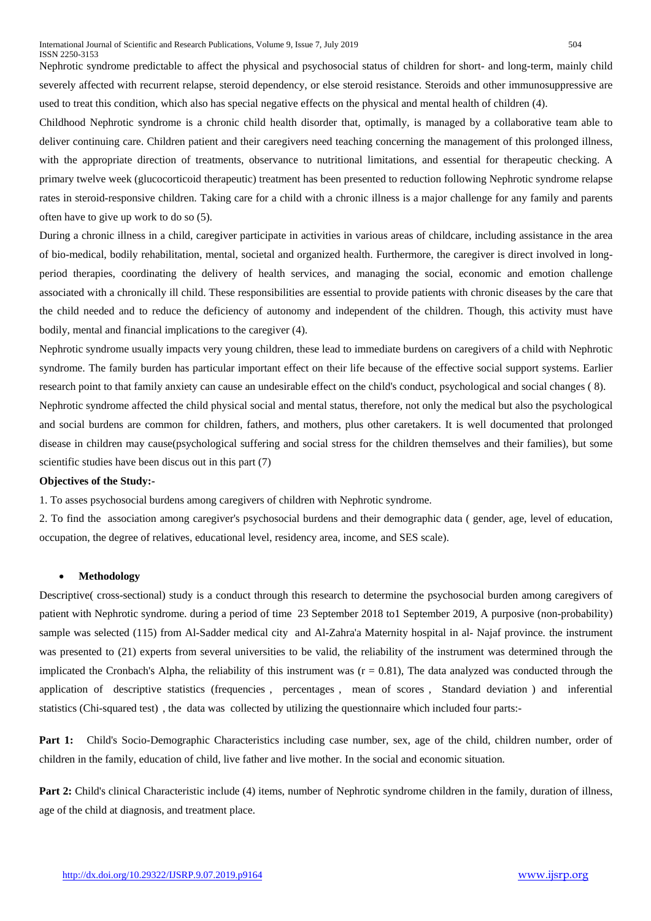Nephrotic syndrome predictable to affect the physical and psychosocial status of children for short- and long-term, mainly child severely affected with recurrent relapse, steroid dependency, or else steroid resistance. Steroids and other immunosuppressive are used to treat this condition, which also has special negative effects on the physical and mental health of children (4).

Childhood Nephrotic syndrome is a chronic child health disorder that, optimally, is managed by a collaborative team able to deliver continuing care. Children patient and their caregivers need teaching concerning the management of this prolonged illness, with the appropriate direction of treatments, observance to nutritional limitations, and essential for therapeutic checking. A primary twelve week (glucocorticoid therapeutic) treatment has been presented to reduction following Nephrotic syndrome relapse rates in steroid-responsive children. Taking care for a child with a chronic illness is a major challenge for any family and parents often have to give up work to do so (5).

During a chronic illness in a child, caregiver participate in activities in various areas of childcare, including assistance in the area of bio-medical, bodily rehabilitation, mental, societal and organized health. Furthermore, the caregiver is direct involved in longperiod therapies, coordinating the delivery of health services, and managing the social, economic and emotion challenge associated with a chronically ill child. These responsibilities are essential to provide patients with chronic diseases by the care that the child needed and to reduce the deficiency of autonomy and independent of the children. Though, this activity must have bodily, mental and financial implications to the caregiver (4).

Nephrotic syndrome usually impacts very young children, these lead to immediate burdens on caregivers of a child with Nephrotic syndrome. The family burden has particular important effect on their life because of the effective social support systems. Earlier research point to that family anxiety can cause an undesirable effect on the child's conduct, psychological and social changes ( 8). Nephrotic syndrome affected the child physical social and mental status, therefore, not only the medical but also the psychological and social burdens are common for children, fathers, and mothers, plus other caretakers. It is well documented that prolonged disease in children may cause(psychological suffering and social stress for the children themselves and their families), but some scientific studies have been discus out in this part (7)

#### **Objectives of the Study:-**

1. To asses psychosocial burdens among caregivers of children with Nephrotic syndrome.

2. To find the association among caregiver's psychosocial burdens and their demographic data ( gender, age, level of education, occupation, the degree of relatives, educational level, residency area, income, and SES scale).

#### • **Methodology**

Descriptive( cross-sectional) study is a conduct through this research to determine the psychosocial burden among caregivers of patient with Nephrotic syndrome. during a period of time 23 September 2018 to1 September 2019*,* A purposive (non-probability) sample was selected (115) from Al-Sadder medical city and Al-Zahra'a Maternity hospital in al- Najaf province*.* the instrument was presented to (21) experts from several universities to be valid, the reliability of the instrument was determined through the implicated the Cronbach's Alpha, the reliability of this instrument was  $(r = 0.81)$ , The data analyzed was conducted through the application of descriptive statistics (frequencies, percentages, mean of scores, Standard deviation) and inferential statistics (Chi-squared test), the data was collected by utilizing the questionnaire which included four parts:-

Part 1: Child's Socio-Demographic Characteristics including case number, sex, age of the child, children number, order of children in the family, education of child, live father and live mother. In the social and economic situation*.*

**Part 2:** Child's clinical Characteristic include (4) items, number of Nephrotic syndrome children in the family, duration of illness, age of the child at diagnosis, and treatment place.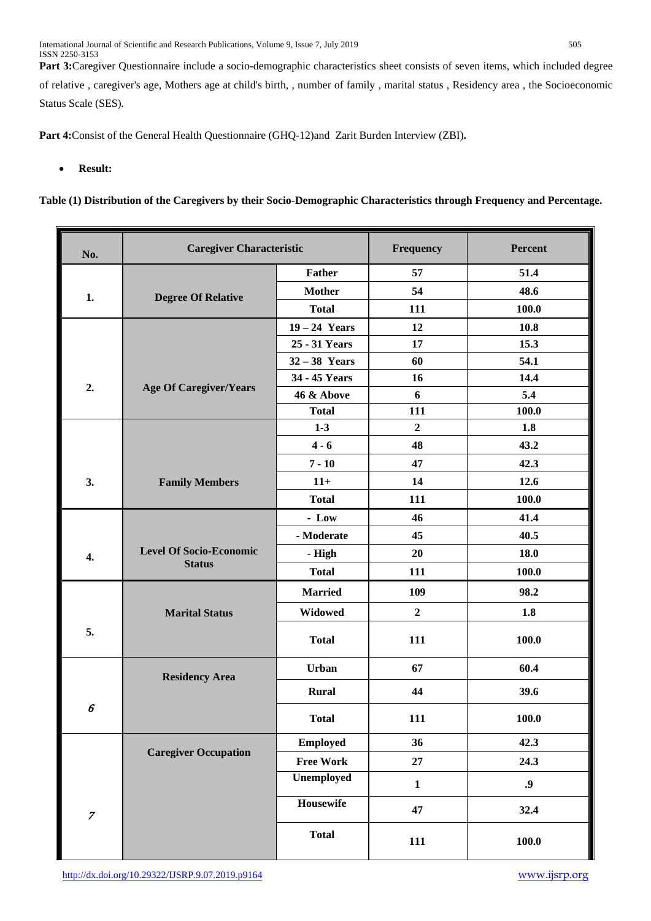Part 3:Caregiver Questionnaire include a socio-demographic characteristics sheet consists of seven items, which included degree of relative , caregiver's age, Mothers age at child's birth, , number of family , marital status , Residency area , the Socioeconomic Status Scale (SES)*.*

**Part 4:**Consist of the General Health Questionnaire (GHQ-12)and Zarit Burden Interview (ZBI)**.**

# • **Result:**

**Table (1) Distribution of the Caregivers by their Socio-Demographic Characteristics through Frequency and Percentage.**

| No.              | <b>Caregiver Characteristic</b> |                  | Frequency      | Percent          |
|------------------|---------------------------------|------------------|----------------|------------------|
|                  |                                 | <b>Father</b>    | 57             | 51.4             |
| 1.               | <b>Degree Of Relative</b>       | <b>Mother</b>    | 54             | 48.6             |
|                  |                                 | <b>Total</b>     | 111            | 100.0            |
|                  |                                 | $19 - 24$ Years  | 12             | 10.8             |
|                  |                                 | 25 - 31 Years    | 17             | 15.3             |
|                  |                                 | $32-38$ Years    | 60             | 54.1             |
|                  |                                 | 34 - 45 Years    | 16             | 14.4             |
| 2.               | <b>Age Of Caregiver/Years</b>   | 46 & Above       | 6              | 5.4              |
|                  |                                 | <b>Total</b>     | 111            | 100.0            |
|                  |                                 | $1-3$            | $\overline{2}$ | 1.8              |
|                  |                                 | $4 - 6$          | 48             | 43.2             |
|                  |                                 | $7 - 10$         | 47             | 42.3             |
| 3.               | <b>Family Members</b>           | $11+$            | 14             | 12.6             |
|                  |                                 | <b>Total</b>     | 111            | 100.0            |
|                  |                                 | $-$ Low          | 46             | 41.4             |
|                  |                                 | - Moderate       | 45             | 40.5             |
| 4.               | <b>Level Of Socio-Economic</b>  | - High           | 20             | 18.0             |
|                  | <b>Status</b>                   | <b>Total</b>     | 111            | 100.0            |
|                  |                                 | <b>Married</b>   | 109            | 98.2             |
|                  | <b>Marital Status</b>           | <b>Widowed</b>   | $\mathbf 2$    | 1.8              |
| 5.               |                                 | <b>Total</b>     | 111            | 100.0            |
|                  | <b>Residency Area</b>           | <b>Urban</b>     | 67             | 60.4             |
|                  |                                 | <b>Rural</b>     | 44             | 39.6             |
| 6                |                                 | <b>Total</b>     | 111            | 100.0            |
|                  |                                 | <b>Employed</b>  | 36             | 42.3             |
|                  | <b>Caregiver Occupation</b>     | <b>Free Work</b> | $27\,$         | 24.3             |
|                  |                                 | Unemployed       | $\mathbf{1}$   | $\boldsymbol{0}$ |
| $\boldsymbol{7}$ |                                 | <b>Housewife</b> | 47             | 32.4             |
|                  |                                 | <b>Total</b>     | 111            | 100.0            |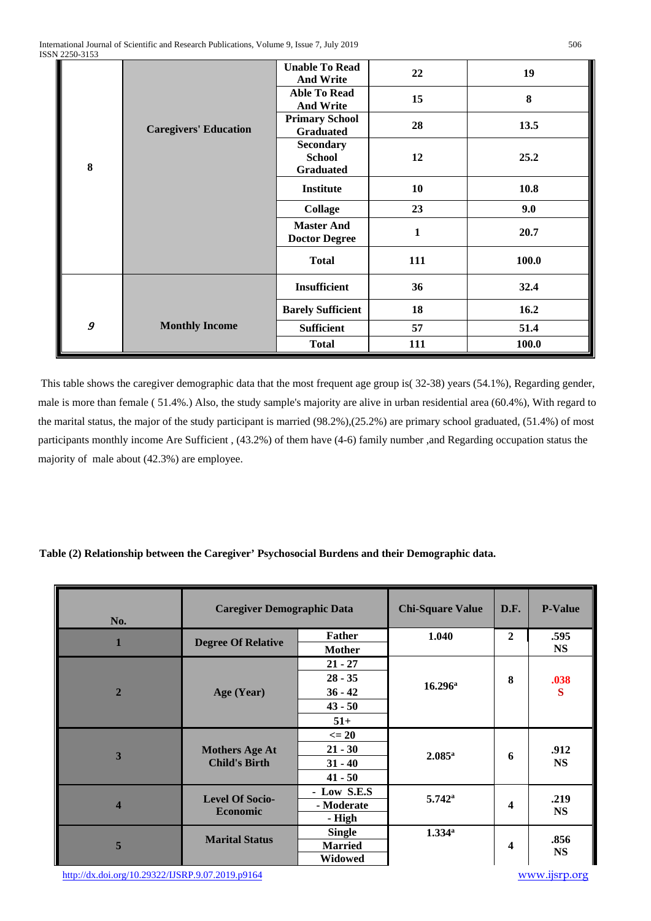| -------- |                              |                                                       |              |       |
|----------|------------------------------|-------------------------------------------------------|--------------|-------|
| 8        | <b>Caregivers' Education</b> | <b>Unable To Read</b><br><b>And Write</b>             | 22           | 19    |
|          |                              | <b>Able To Read</b><br><b>And Write</b>               | 15           | 8     |
|          |                              | <b>Primary School</b><br><b>Graduated</b>             | 28           | 13.5  |
|          |                              | <b>Secondary</b><br><b>School</b><br><b>Graduated</b> | 12           | 25.2  |
|          |                              | <b>Institute</b>                                      | 10           | 10.8  |
|          |                              | <b>Collage</b>                                        | 23           | 9.0   |
|          |                              | <b>Master And</b><br><b>Doctor Degree</b>             | $\mathbf{1}$ | 20.7  |
|          |                              | <b>Total</b>                                          | 111          | 100.0 |
|          |                              | <b>Insufficient</b>                                   | 36           | 32.4  |
|          |                              | <b>Barely Sufficient</b>                              | 18           | 16.2  |
| 9        | <b>Monthly Income</b>        | <b>Sufficient</b>                                     | 57           | 51.4  |
|          |                              | <b>Total</b>                                          | 111          | 100.0 |

This table shows the caregiver demographic data that the most frequent age group is( 32-38) years (54.1%), Regarding gender, male is more than female ( 51.4%.) Also, the study sample's majority are alive in urban residential area (60.4%), With regard to the marital status, the major of the study participant is married (98.2%),(25.2%) are primary school graduated, (51.4%) of most participants monthly income Are Sufficient , (43.2%) of them have (4-6) family number ,and Regarding occupation status the majority of male about (42.3%) are employee.

# **Table (2) Relationship between the Caregiver' Psychosocial Burdens and their Demographic data.**

| No.                     | <b>Caregiver Demographic Data</b>             |                | <b>Chi-Square Value</b> | D.F.         | <b>P-Value</b>    |
|-------------------------|-----------------------------------------------|----------------|-------------------------|--------------|-------------------|
|                         | <b>Degree Of Relative</b>                     | <b>Father</b>  | 1.040                   | $\mathbf{2}$ | .595              |
|                         |                                               | <b>Mother</b>  |                         |              | <b>NS</b>         |
|                         | Age (Year)                                    | $21 - 27$      |                         |              |                   |
|                         |                                               | $28 - 35$      | $16.296^{\rm a}$        | 8            | .038              |
| $\overline{2}$          |                                               | $36 - 42$      |                         |              | S                 |
|                         |                                               | $43 - 50$      |                         |              |                   |
|                         |                                               | $51+$          |                         |              |                   |
|                         | <b>Mothers Age At</b><br><b>Child's Birth</b> | $\leq$ 20      | $2.085^{\rm a}$         | 6            | .912<br><b>NS</b> |
|                         |                                               | $21 - 30$      |                         |              |                   |
| 3                       |                                               | $31 - 40$      |                         |              |                   |
|                         |                                               | $41 - 50$      |                         |              |                   |
|                         | <b>Level Of Socio-</b><br><b>Economic</b>     | - Low S.E.S    |                         | 4            | .219<br><b>NS</b> |
| $\overline{\mathbf{4}}$ |                                               | - Moderate     | $5.742^{\rm a}$         |              |                   |
|                         |                                               | - High         |                         |              |                   |
|                         | <b>Marital Status</b>                         | <b>Single</b>  | $1.334^{\circ}$         | 4            |                   |
| 5                       |                                               | <b>Married</b> |                         |              | .856<br><b>NS</b> |
|                         |                                               | Widowed        |                         |              |                   |

<http://dx.doi.org/10.29322/IJSRP.9.07.2019.p9164>[www.ijsrp.org](http://ijsrp.org/)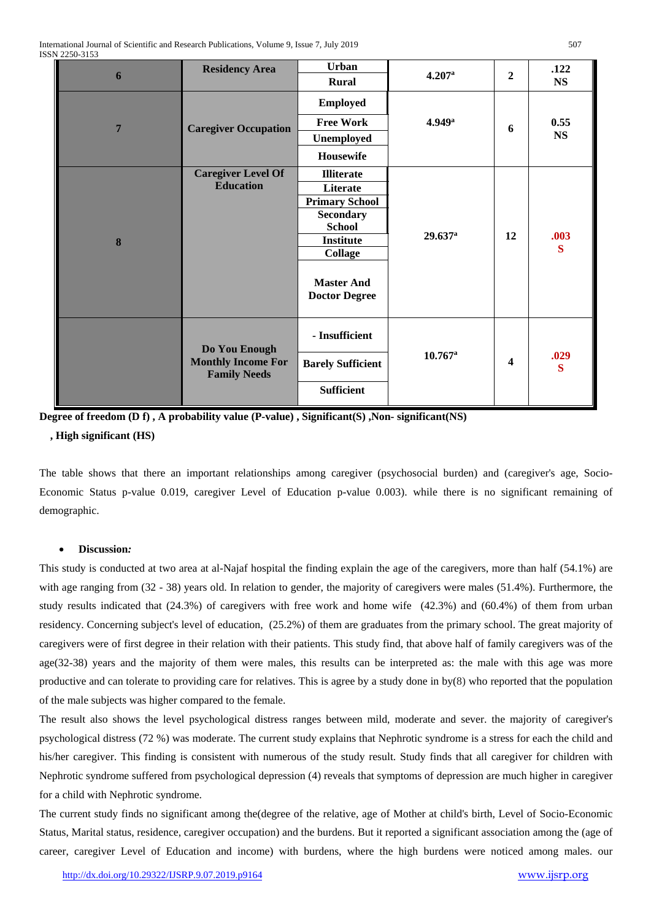| 6              | <b>Residency Area</b>                            | <b>Urban</b>                              | 4.207a                | $\overline{2}$          | .122              |
|----------------|--------------------------------------------------|-------------------------------------------|-----------------------|-------------------------|-------------------|
|                |                                                  | <b>Rural</b>                              |                       |                         | <b>NS</b>         |
|                |                                                  | <b>Employed</b>                           |                       |                         |                   |
| $\overline{7}$ | <b>Caregiver Occupation</b>                      | <b>Free Work</b>                          | 4.949a                | 6                       | 0.55<br><b>NS</b> |
|                |                                                  | Unemployed                                |                       |                         |                   |
|                |                                                  | Housewife                                 |                       |                         |                   |
|                | <b>Caregiver Level Of</b>                        | <b>Illiterate</b>                         | $29.637$ <sup>a</sup> |                         | .003<br>S         |
|                | <b>Education</b>                                 | Literate                                  |                       |                         |                   |
|                |                                                  | <b>Primary School</b>                     |                       |                         |                   |
|                |                                                  | <b>Secondary</b>                          |                       |                         |                   |
|                |                                                  | <b>School</b>                             |                       | 12                      |                   |
| 8              |                                                  | <b>Institute</b>                          |                       |                         |                   |
|                |                                                  | <b>Collage</b>                            |                       |                         |                   |
|                |                                                  | <b>Master And</b><br><b>Doctor Degree</b> |                       |                         |                   |
|                | Do You Enough                                    | - Insufficient                            | $10.767$ <sup>a</sup> |                         |                   |
|                | <b>Monthly Income For</b><br><b>Family Needs</b> | <b>Barely Sufficient</b>                  |                       | $\overline{\mathbf{4}}$ | .029<br>S         |
|                |                                                  | <b>Sufficient</b>                         |                       |                         |                   |

**Degree of freedom (D f) , A probability value (P-value) , Significant(S) ,Non- significant(NS)**

# **, High significant (HS)**

The table shows that there an important relationships among caregiver (psychosocial burden) and (caregiver's age, Socio-Economic Status p-value 0.019, caregiver Level of Education p-value 0.003). while there is no significant remaining of demographic.

# • **Discussion***:*

This study is conducted at two area at al-Najaf hospital the finding explain the age of the caregivers, more than half (54.1%) are with age ranging from  $(32 - 38)$  years old. In relation to gender, the majority of caregivers were males  $(51.4%)$ . Furthermore, the study results indicated that (24.3%) of caregivers with free work and home wife (42.3%) and (60.4%) of them from urban residency. Concerning subject's level of education, (25.2%) of them are graduates from the primary school. The great majority of caregivers were of first degree in their relation with their patients. This study find, that above half of family caregivers was of the age(32-38) years and the majority of them were males, this results can be interpreted as: the male with this age was more productive and can tolerate to providing care for relatives. This is agree by a study done in by(8) who reported that the population of the male subjects was higher compared to the female.

The result also shows the level psychological distress ranges between mild, moderate and sever. the majority of caregiver's psychological distress (72 %) was moderate. The current study explains that Nephrotic syndrome is a stress for each the child and his/her caregiver. This finding is consistent with numerous of the study result. Study finds that all caregiver for children with Nephrotic syndrome suffered from psychological depression (4) reveals that symptoms of depression are much higher in caregiver for a child with Nephrotic syndrome.

The current study finds no significant among the(degree of the relative, age of Mother at child's birth, Level of Socio-Economic Status, Marital status, residence, caregiver occupation) and the burdens. But it reported a significant association among the (age of career, caregiver Level of Education and income) with burdens, where the high burdens were noticed among males. our